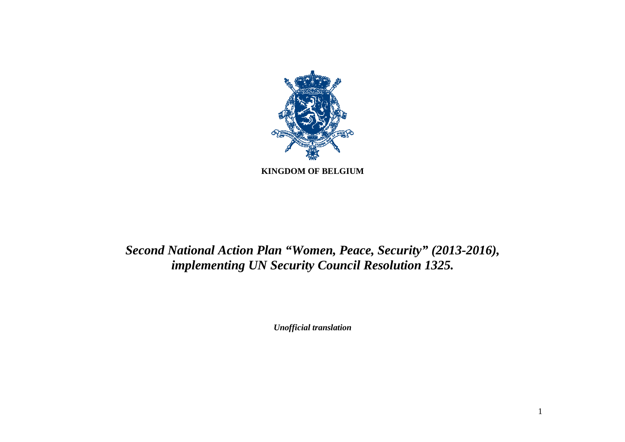

# *Second National Action Plan "Women, Peace, Security" (2013-2016), implementing UN Security Council Resolution 1325.*

*Unofficial translation*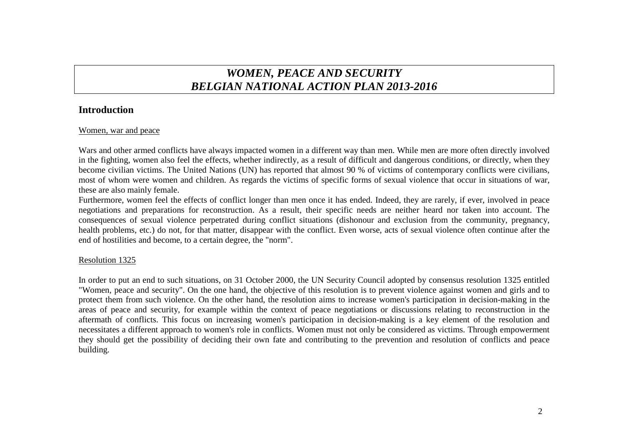## *WOMEN, PEACE AND SECURITY BELGIAN NATIONAL ACTION PLAN 2013-2016*

## **Introduction**

#### Women, war and peace

Wars and other armed conflicts have always impacted women in a different way than men. While men are more often directly involved in the fighting, women also feel the effects, whether indirectly, as a result of difficult and dangerous conditions, or directly, when they become civilian victims. The United Nations (UN) has reported that almost 90 % of victims of contemporary conflicts were civilians, most of whom were women and children. As regards the victims of specific forms of sexual violence that occur in situations of war, these are also mainly female.

 Furthermore, women feel the effects of conflict longer than men once it has ended. Indeed, they are rarely, if ever, involved in peace negotiations and preparations for reconstruction. As a result, their specific needs are neither heard nor taken into account. The consequences of sexual violence perpetrated during conflict situations (dishonour and exclusion from the community, pregnancy, health problems, etc.) do not, for that matter, disappear with the conflict. Even worse, acts of sexual violence often continue after the end of hostilities and become, to a certain degree, the "norm".

## Resolution 1325

In order to put an end to such situations, on 31 October 2000, the UN Security Council adopted by consensus resolution 1325 entitled "Women, peace and security". On the one hand, the objective of this resolution is to prevent violence against women and girls and to protect them from such violence. On the other hand, the resolution aims to increase women's participation in decision-making in the areas of peace and security, for example within the context of peace negotiations or discussions relating to reconstruction in the aftermath of conflicts. This focus on increasing women's participation in decision-making is a key element of the resolution and necessitates a different approach to women's role in conflicts. Women must not only be considered as victims. Through empowerment they should get the possibility of deciding their own fate and contributing to the prevention and resolution of conflicts and peace building.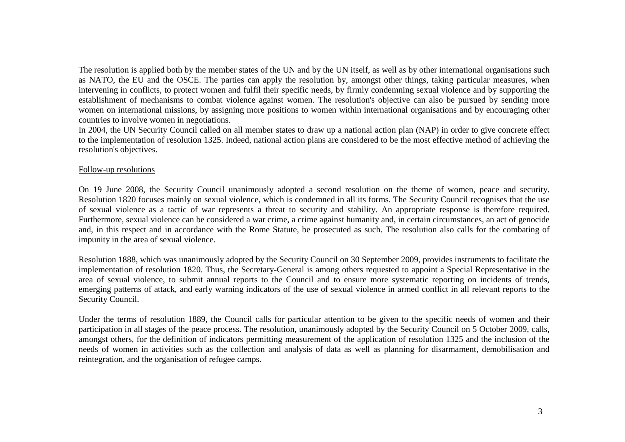The resolution is applied both by the member states of the UN and by the UN itself, as well as by other international organisations such as NATO, the EU and the OSCE. The parties can apply the resolution by, amongst other things, taking particular measures, when intervening in conflicts, to protect women and fulfil their specific needs, by firmly condemning sexual violence and by supporting the establishment of mechanisms to combat violence against women. The resolution's objective can also be pursued by sending more women on international missions, by assigning more positions to women within international organisations and by encouraging other countries to involve women in negotiations.

 In 2004, the UN Security Council called on all member states to draw up a national action plan (NAP) in order to give concrete effect to the implementation of resolution 1325. Indeed, national action plans are considered to be the most effective method of achieving the resolution's objectives.

#### Follow-up resolutions

On 19 June 2008, the Security Council unanimously adopted a second resolution on the theme of women, peace and security. Resolution 1820 focuses mainly on sexual violence, which is condemned in all its forms. The Security Council recognises that the use of sexual violence as a tactic of war represents a threat to security and stability. An appropriate response is therefore required. Furthermore, sexual violence can be considered a war crime, a crime against humanity and, in certain circumstances, an act of genocide and, in this respect and in accordance with the Rome Statute, be prosecuted as such. The resolution also calls for the combating of impunity in the area of sexual violence.

Resolution 1888, which was unanimously adopted by the Security Council on 30 September 2009, provides instruments to facilitate the implementation of resolution 1820. Thus, the Secretary-General is among others requested to appoint a Special Representative in the area of sexual violence, to submit annual reports to the Council and to ensure more systematic reporting on incidents of trends, emerging patterns of attack, and early warning indicators of the use of sexual violence in armed conflict in all relevant reports to the Security Council.

Under the terms of resolution 1889, the Council calls for particular attention to be given to the specific needs of women and their participation in all stages of the peace process. The resolution, unanimously adopted by the Security Council on 5 October 2009, calls, amongst others, for the definition of indicators permitting measurement of the application of resolution 1325 and the inclusion of the needs of women in activities such as the collection and analysis of data as well as planning for disarmament, demobilisation and reintegration, and the organisation of refugee camps.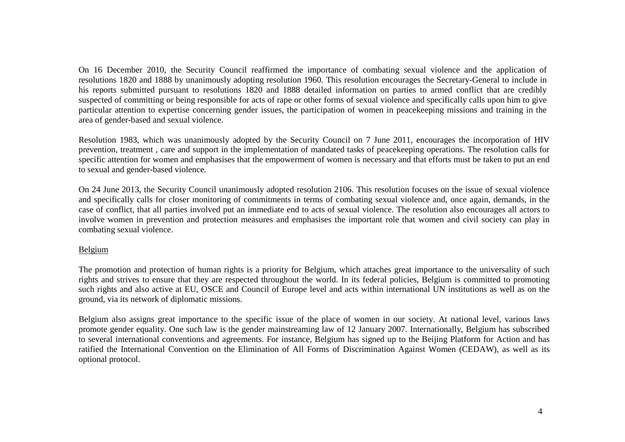On 16 December 2010, the Security Council reaffirmed the importance of combating sexual violence and the application of resolutions 1820 and 1888 by unanimously adopting resolution 1960. This resolution encourages the Secretary-General to include in his reports submitted pursuant to resolutions 1820 and 1888 detailed information on parties to armed conflict that are credibly suspected of committing or being responsible for acts of rape or other forms of sexual violence and specifically calls upon him to give particular attention to expertise concerning gender issues, the participation of women in peacekeeping missions and training in the area of gender-based and sexual violence.

Resolution 1983, which was unanimously adopted by the Security Council on 7 June 2011, encourages the incorporation of HIV prevention, treatment , care and support in the implementation of mandated tasks of peacekeeping operations. The resolution calls for specific attention for women and emphasises that the empowerment of women is necessary and that efforts must be taken to put an end to sexual and gender-based violence.

On 24 June 2013, the Security Council unanimously adopted resolution 2106. This resolution focuses on the issue of sexual violence and specifically calls for closer monitoring of commitments in terms of combating sexual violence and, once again, demands, in the case of conflict, that all parties involved put an immediate end to acts of sexual violence. The resolution also encourages all actors to involve women in prevention and protection measures and emphasises the important role that women and civil society can play in combating sexual violence.

#### Belgium

The promotion and protection of human rights is a priority for Belgium, which attaches great importance to the universality of such rights and strives to ensure that they are respected throughout the world. In its federal policies, Belgium is committed to promoting such rights and also active at EU, OSCE and Council of Europe level and acts within international UN institutions as well as on the ground, via its network of diplomatic missions.

Belgium also assigns great importance to the specific issue of the place of women in our society. At national level, various laws promote gender equality. One such law is the gender mainstreaming law of 12 January 2007. Internationally, Belgium has subscribed to several international conventions and agreements. For instance, Belgium has signed up to the Beijing Platform for Action and has ratified the International Convention on the Elimination of All Forms of Discrimination Against Women (CEDAW), as well as its optional protocol.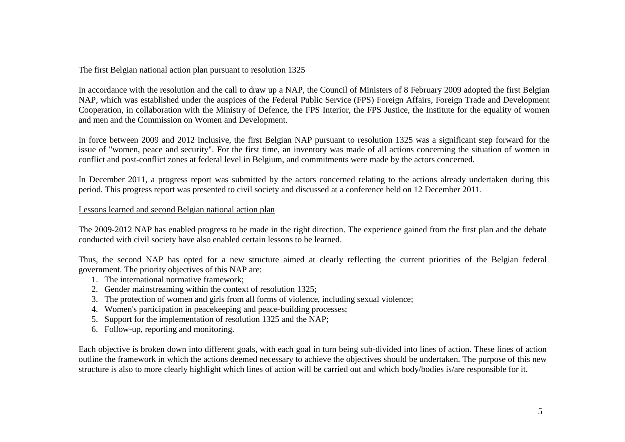#### The first Belgian national action plan pursuant to resolution 1325

In accordance with the resolution and the call to draw up a NAP, the Council of Ministers of 8 February 2009 adopted the first Belgian NAP, which was established under the auspices of the Federal Public Service (FPS) Foreign Affairs, Foreign Trade and Development Cooperation, in collaboration with the Ministry of Defence, the FPS Interior, the FPS Justice, the Institute for the equality of women and men and the Commission on Women and Development.

In force between 2009 and 2012 inclusive, the first Belgian NAP pursuant to resolution 1325 was a significant step forward for the issue of "women, peace and security". For the first time, an inventory was made of all actions concerning the situation of women in conflict and post-conflict zones at federal level in Belgium, and commitments were made by the actors concerned.

In December 2011, a progress report was submitted by the actors concerned relating to the actions already undertaken during this period. This progress report was presented to civil society and discussed at a conference held on 12 December 2011.

#### Lessons learned and second Belgian national action plan

The 2009-2012 NAP has enabled progress to be made in the right direction. The experience gained from the first plan and the debate conducted with civil society have also enabled certain lessons to be learned.

Thus, the second NAP has opted for a new structure aimed at clearly reflecting the current priorities of the Belgian federal government. The priority objectives of this NAP are:

- 1. The international normative framework;
- 2. Gender mainstreaming within the context of resolution 1325;
- 3. The protection of women and girls from all forms of violence, including sexual violence;
- 4. Women's participation in peacekeeping and peace-building processes;
- 5. Support for the implementation of resolution 1325 and the NAP;
- 6. Follow-up, reporting and monitoring.

Each objective is broken down into different goals, with each goal in turn being sub-divided into lines of action. These lines of action outline the framework in which the actions deemed necessary to achieve the objectives should be undertaken. The purpose of this new structure is also to more clearly highlight which lines of action will be carried out and which body/bodies is/are responsible for it.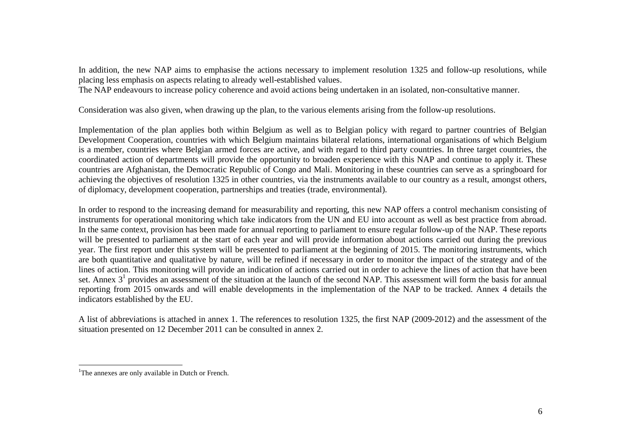In addition, the new NAP aims to emphasise the actions necessary to implement resolution 1325 and follow-up resolutions, while placing less emphasis on aspects relating to already well-established values.

The NAP endeavours to increase policy coherence and avoid actions being undertaken in an isolated, non-consultative manner.

Consideration was also given, when drawing up the plan, to the various elements arising from the follow-up resolutions.

Implementation of the plan applies both within Belgium as well as to Belgian policy with regard to partner countries of Belgian Development Cooperation, countries with which Belgium maintains bilateral relations, international organisations of which Belgium is a member, countries where Belgian armed forces are active, and with regard to third party countries. In three target countries, the coordinated action of departments will provide the opportunity to broaden experience with this NAP and continue to apply it. These countries are Afghanistan, the Democratic Republic of Congo and Mali. Monitoring in these countries can serve as a springboard for achieving the objectives of resolution 1325 in other countries, via the instruments available to our country as a result, amongst others, of diplomacy, development cooperation, partnerships and treaties (trade, environmental).

In order to respond to the increasing demand for measurability and reporting, this new NAP offers a control mechanism consisting of instruments for operational monitoring which take indicators from the UN and EU into account as well as best practice from abroad. In the same context, provision has been made for annual reporting to parliament to ensure regular follow-up of the NAP. These reports will be presented to parliament at the start of each year and will provide information about actions carried out during the previous year. The first report under this system will be presented to parliament at the beginning of 2015. The monitoring instruments, which are both quantitative and qualitative by nature, will be refined if necessary in order to monitor the impact of the strategy and of the lines of action. This monitoring will provide an indication of actions carried out in order to achieve the lines of action that have been set. Annex  $3<sup>1</sup>$  provides an assessment of the situation at the launch of the second NAP. This assessment will form the basis for annual reporting from 2015 onwards and will enable developments in the implementation of the NAP to be tracked. Annex 4 details the indicators established by the EU.

A list of abbreviations is attached in annex 1. The references to resolution 1325, the first NAP (2009-2012) and the assessment of the situation presented on 12 December 2011 can be consulted in annex 2.

<sup>&</sup>lt;sup>1</sup>The annexes are only available in Dutch or French.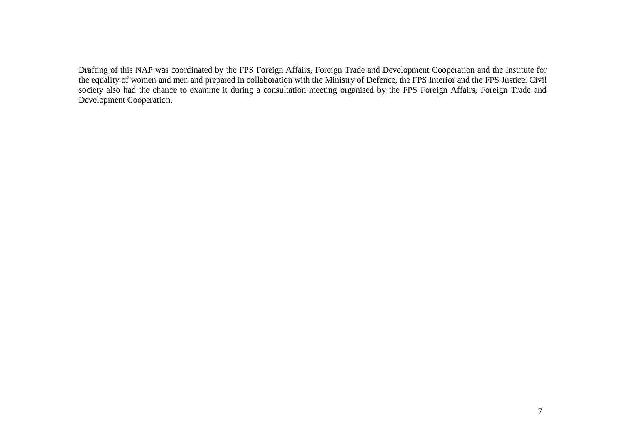Drafting of this NAP was coordinated by the FPS Foreign Affairs, Foreign Trade and Development Cooperation and the Institute for the equality of women and men and prepared in collaboration with the Ministry of Defence, the FPS Interior and the FPS Justice. Civil society also had the chance to examine it during a consultation meeting organised by the FPS Foreign Affairs, Foreign Trade and Development Cooperation.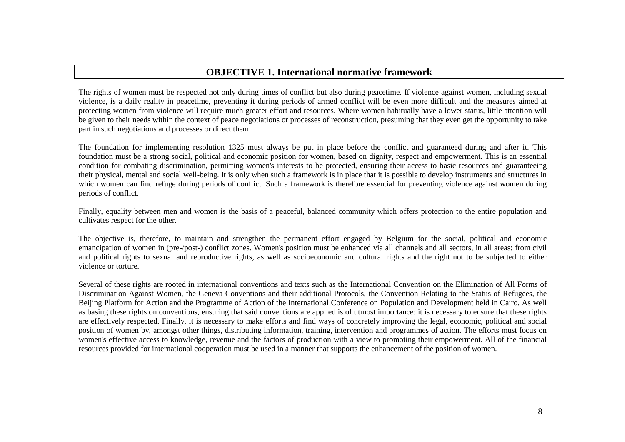## **OBJECTIVE 1. International normative framework**

The rights of women must be respected not only during times of conflict but also during peacetime. If violence against women, including sexual violence, is a daily reality in peacetime, preventing it during periods of armed conflict will be even more difficult and the measures aimed at protecting women from violence will require much greater effort and resources. Where women habitually have a lower status, little attention will be given to their needs within the context of peace negotiations or processes of reconstruction, presuming that they even get the opportunity to take part in such negotiations and processes or direct them.

The foundation for implementing resolution 1325 must always be put in place before the conflict and guaranteed during and after it. This foundation must be a strong social, political and economic position for women, based on dignity, respect and empowerment. This is an essential condition for combating discrimination, permitting women's interests to be protected, ensuring their access to basic resources and guaranteeing their physical, mental and social well-being. It is only when such a framework is in place that it is possible to develop instruments and structures in which women can find refuge during periods of conflict. Such a framework is therefore essential for preventing violence against women during periods of conflict.

Finally, equality between men and women is the basis of a peaceful, balanced community which offers protection to the entire population and cultivates respect for the other.

The objective is, therefore, to maintain and strengthen the permanent effort engaged by Belgium for the social, political and economic emancipation of women in (pre-/post-) conflict zones. Women's position must be enhanced via all channels and all sectors, in all areas: from civil and political rights to sexual and reproductive rights, as well as socioeconomic and cultural rights and the right not to be subjected to either violence or torture.

Several of these rights are rooted in international conventions and texts such as the International Convention on the Elimination of All Forms of Discrimination Against Women, the Geneva Conventions and their additional Protocols, the Convention Relating to the Status of Refugees, the Beijing Platform for Action and the Programme of Action of the International Conference on Population and Development held in Cairo. As well as basing these rights on conventions, ensuring that said conventions are applied is of utmost importance: it is necessary to ensure that these rights are effectively respected. Finally, it is necessary to make efforts and find ways of concretely improving the legal, economic, political and social position of women by, amongst other things, distributing information, training, intervention and programmes of action. The efforts must focus on women's effective access to knowledge, revenue and the factors of production with a view to promoting their empowerment. All of the financial resources provided for international cooperation must be used in a manner that supports the enhancement of the position of women.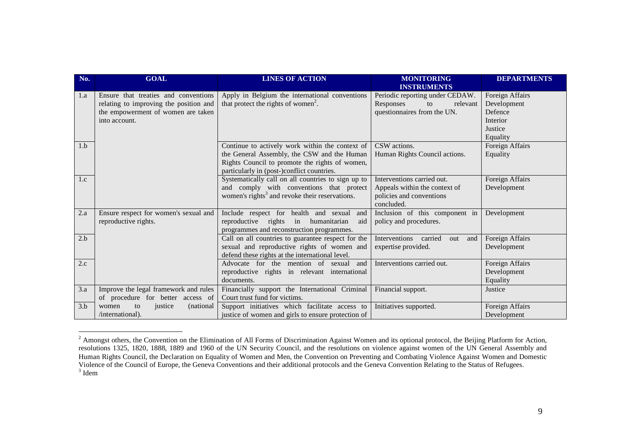| No. | <b>GOAL</b>                                                                                                                           | <b>LINES OF ACTION</b>                                                                                                                                                                         | <b>MONITORING</b><br><b>INSTRUMENTS</b>                                                               | <b>DEPARTMENTS</b>                                                           |
|-----|---------------------------------------------------------------------------------------------------------------------------------------|------------------------------------------------------------------------------------------------------------------------------------------------------------------------------------------------|-------------------------------------------------------------------------------------------------------|------------------------------------------------------------------------------|
| 1.a | Ensure that treaties and conventions<br>relating to improving the position and<br>the empowerment of women are taken<br>into account. | Apply in Belgium the international conventions<br>that protect the rights of women <sup>2</sup> .                                                                                              | Periodic reporting under CEDAW.<br>Responses<br>relevant<br>to<br>questionnaires from the UN.         | Foreign Affairs<br>Development<br>Defence<br>Interior<br>Justice<br>Equality |
| 1.b |                                                                                                                                       | Continue to actively work within the context of<br>the General Assembly, the CSW and the Human<br>Rights Council to promote the rights of women,<br>particularly in (post-)conflict countries. | CSW actions.<br>Human Rights Council actions.                                                         | Foreign Affairs<br>Equality                                                  |
| 1.c |                                                                                                                                       | Systematically call on all countries to sign up to<br>and comply with conventions that protect<br>women's rights <sup>3</sup> and revoke their reservations.                                   | Interventions carried out.<br>Appeals within the context of<br>policies and conventions<br>concluded. | Foreign Affairs<br>Development                                               |
| 2.a | Ensure respect for women's sexual and<br>reproductive rights.                                                                         | Include respect for health and sexual<br>and<br>reproductive rights in humanitarian<br>aid<br>programmes and reconstruction programmes.                                                        | Inclusion of this component in<br>policy and procedures.                                              | Development                                                                  |
| 2.b |                                                                                                                                       | Call on all countries to guarantee respect for the<br>sexual and reproductive rights of women and<br>defend these rights at the international level.                                           | Interventions<br>carried<br>out<br>and<br>expertise provided.                                         | Foreign Affairs<br>Development                                               |
| 2.c |                                                                                                                                       | Advocate for the mention of sexual and<br>reproductive rights in relevant international<br>documents.                                                                                          | Interventions carried out.                                                                            | Foreign Affairs<br>Development<br>Equality                                   |
| 3.a | Improve the legal framework and rules<br>of procedure for better access of                                                            | Financially support the International Criminal<br>Court trust fund for victims.                                                                                                                | Financial support.                                                                                    | Justice                                                                      |
| 3.b | women<br>to<br>justice<br>(national)<br>/international).                                                                              | Support initiatives which facilitate access to<br>justice of women and girls to ensure protection of                                                                                           | Initiatives supported.                                                                                | Foreign Affairs<br>Development                                               |

<sup>&</sup>lt;sup>2</sup> Amongst others, the Convention on the Elimination of All Forms of Discrimination Against Women and its optional protocol, the Beijing Platform for Action, resolutions 1325, 1820, 1888, 1889 and 1960 of the UN Security Council, and the resolutions on violence against women of the UN General Assembly and Human Rights Council, the Declaration on Equality of Women and Men, the Convention on Preventing and Combating Violence Against Women and Domestic<br>Violence of the Council of Europe, the Geneva Conventions and their additio <sup>3</sup> Idem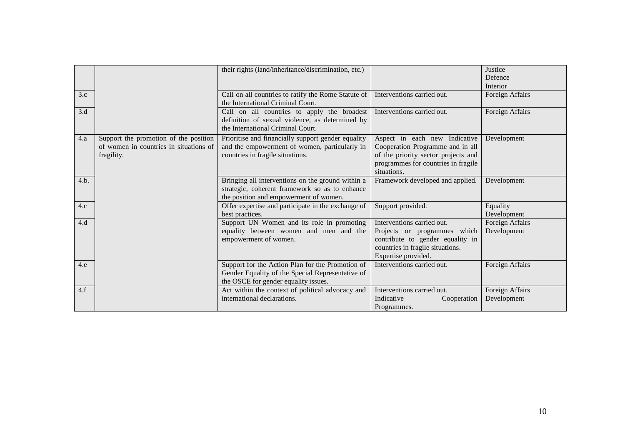|      |                                                                                               | their rights (land/inheritance/discrimination, etc.)                                                                                          |                                                                                                                                                                | Justice<br>Defence<br>Interior |
|------|-----------------------------------------------------------------------------------------------|-----------------------------------------------------------------------------------------------------------------------------------------------|----------------------------------------------------------------------------------------------------------------------------------------------------------------|--------------------------------|
| 3.c  |                                                                                               | Call on all countries to ratify the Rome Statute of<br>the International Criminal Court.                                                      | Interventions carried out.                                                                                                                                     | Foreign Affairs                |
| 3.d  |                                                                                               | Call on all countries to apply the broadest<br>definition of sexual violence, as determined by<br>the International Criminal Court.           | Interventions carried out.                                                                                                                                     | Foreign Affairs                |
| 4.a  | Support the promotion of the position<br>of women in countries in situations of<br>fragility. | Prioritise and financially support gender equality<br>and the empowerment of women, particularly in<br>countries in fragile situations.       | Aspect in each new Indicative<br>Cooperation Programme and in all<br>of the priority sector projects and<br>programmes for countries in fragile<br>situations. | Development                    |
| 4.b. |                                                                                               | Bringing all interventions on the ground within a<br>strategic, coherent framework so as to enhance<br>the position and empowerment of women. | Framework developed and applied.                                                                                                                               | Development                    |
| 4.c  |                                                                                               | Offer expertise and participate in the exchange of<br>best practices.                                                                         | Support provided.                                                                                                                                              | Equality<br>Development        |
| 4.d  |                                                                                               | Support UN Women and its role in promoting<br>equality between women and men and the<br>empowerment of women.                                 | Interventions carried out.<br>Projects or programmes which<br>contribute to gender equality in<br>countries in fragile situations.<br>Expertise provided.      | Foreign Affairs<br>Development |
| 4.e  |                                                                                               | Support for the Action Plan for the Promotion of<br>Gender Equality of the Special Representative of<br>the OSCE for gender equality issues.  | Interventions carried out.                                                                                                                                     | Foreign Affairs                |
| 4.f  |                                                                                               | Act within the context of political advocacy and<br>international declarations.                                                               | Interventions carried out.<br>Indicative<br>Cooperation<br>Programmes.                                                                                         | Foreign Affairs<br>Development |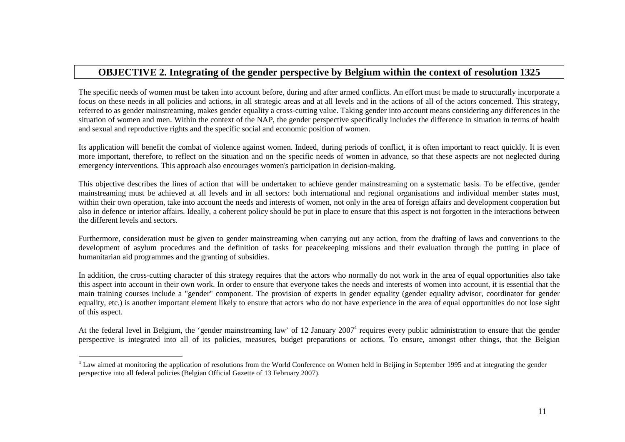## **OBJECTIVE 2. Integrating of the gender perspective by Belgium within the context of resolution 1325**

The specific needs of women must be taken into account before, during and after armed conflicts. An effort must be made to structurally incorporate a focus on these needs in all policies and actions, in all strategic areas and at all levels and in the actions of all of the actors concerned. This strategy, referred to as gender mainstreaming, makes gender equality a cross-cutting value. Taking gender into account means considering any differences in the situation of women and men. Within the context of the NAP, the gender perspective specifically includes the difference in situation in terms of health and sexual and reproductive rights and the specific social and economic position of women.

Its application will benefit the combat of violence against women. Indeed, during periods of conflict, it is often important to react quickly. It is even more important, therefore, to reflect on the situation and on the specific needs of women in advance, so that these aspects are not neglected during emergency interventions. This approach also encourages women's participation in decision-making.

This objective describes the lines of action that will be undertaken to achieve gender mainstreaming on a systematic basis. To be effective, gender mainstreaming must be achieved at all levels and in all sectors: both international and regional organisations and individual member states must, within their own operation, take into account the needs and interests of women, not only in the area of foreign affairs and development cooperation but also in defence or interior affairs. Ideally, a coherent policy should be put in place to ensure that this aspect is not forgotten in the interactions between the different levels and sectors.

Furthermore, consideration must be given to gender mainstreaming when carrying out any action, from the drafting of laws and conventions to the development of asylum procedures and the definition of tasks for peacekeeping missions and their evaluation through the putting in place of humanitarian aid programmes and the granting of subsidies.

In addition, the cross-cutting character of this strategy requires that the actors who normally do not work in the area of equal opportunities also take this aspect into account in their own work. In order to ensure that everyone takes the needs and interests of women into account, it is essential that the main training courses include a "gender" component. The provision of experts in gender equality (gender equality advisor, coordinator for gender equality, etc.) is another important element likely to ensure that actors who do not have experience in the area of equal opportunities do not lose sightof this aspect.

At the federal level in Belgium, the 'gender mainstreaming law' of 12 January 2007<sup>4</sup> requires every public administration to ensure that the gender perspective is integrated into all of its policies, measures, budget preparations or actions. To ensure, amongst other things, that the Belgian

<sup>&</sup>lt;sup>4</sup> Law aimed at monitoring the application of resolutions from the World Conference on Women held in Beijing in September 1995 and at integrating the gender perspective into all federal policies (Belgian Official Gazette of 13 February 2007).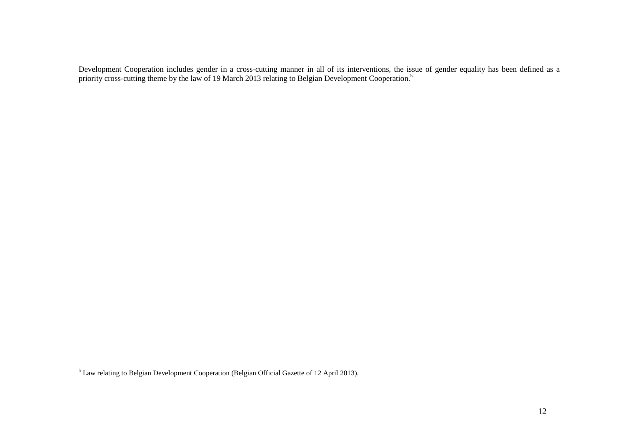Development Cooperation includes gender in a cross-cutting manner in all of its interventions, the issue of gender equality has been defined as a<br>priority cross-cutting theme by the law of 19 March 2013 relating to Belgian

Law relating to Belgian Development Cooperation (Belgian Official Gazette of 12 April 2013).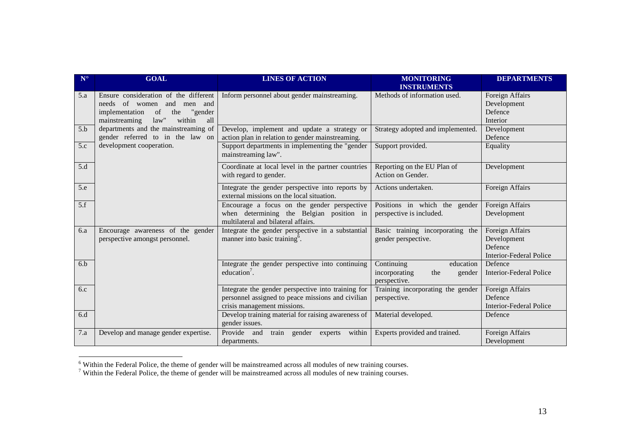| $N^{\circ}$ | <b>GOAL</b>                                                                                                                                              | <b>LINES OF ACTION</b>                                                                                                                 | <b>MONITORING</b><br><b>INSTRUMENTS</b>                                   | <b>DEPARTMENTS</b>                                                          |
|-------------|----------------------------------------------------------------------------------------------------------------------------------------------------------|----------------------------------------------------------------------------------------------------------------------------------------|---------------------------------------------------------------------------|-----------------------------------------------------------------------------|
| 5.a         | Ensure consideration of the different<br>needs of women and men and<br>the<br>implementation<br>of<br>"gender<br>law''<br>within<br>all<br>mainstreaming | Inform personnel about gender mainstreaming.                                                                                           | Methods of information used.                                              | Foreign Affairs<br>Development<br>Defence<br>Interior                       |
| 5.b         | departments and the mainstreaming of<br>gender referred to in the law on                                                                                 | Develop, implement and update a strategy or<br>action plan in relation to gender mainstreaming.                                        | Strategy adopted and implemented.                                         | Development<br>Defence                                                      |
| 5.c         | development cooperation.                                                                                                                                 | Support departments in implementing the "gender<br>mainstreaming law".                                                                 | Support provided.                                                         | Equality                                                                    |
| 5.d         |                                                                                                                                                          | Coordinate at local level in the partner countries<br>with regard to gender.                                                           | Reporting on the EU Plan of<br>Action on Gender.                          | Development                                                                 |
| 5.e         |                                                                                                                                                          | Integrate the gender perspective into reports by<br>external missions on the local situation.                                          | Actions undertaken.                                                       | Foreign Affairs                                                             |
| 5.f         |                                                                                                                                                          | Encourage a focus on the gender perspective<br>when determining the Belgian position in<br>multilateral and bilateral affairs.         | Positions in which the gender<br>perspective is included.                 | Foreign Affairs<br>Development                                              |
| 6.a         | Encourage awareness of the gender<br>perspective amongst personnel.                                                                                      | Integrate the gender perspective in a substantial<br>manner into basic training <sup>o</sup> .                                         | Basic training incorporating the<br>gender perspective.                   | Foreign Affairs<br>Development<br>Defence<br><b>Interior-Federal Police</b> |
| 6.b         |                                                                                                                                                          | Integrate the gender perspective into continuing<br>education <sup>7</sup> .                                                           | Continuing<br>education<br>incorporating<br>the<br>gender<br>perspective. | Defence<br><b>Interior-Federal Police</b>                                   |
| 6.c         |                                                                                                                                                          | Integrate the gender perspective into training for<br>personnel assigned to peace missions and civilian<br>crisis management missions. | Training incorporating the gender<br>perspective.                         | Foreign Affairs<br>Defence<br><b>Interior-Federal Police</b>                |
| 6d          |                                                                                                                                                          | Develop training material for raising awareness of<br>gender issues.                                                                   | Material developed.                                                       | Defence                                                                     |
| 7.a         | Develop and manage gender expertise.                                                                                                                     | Provide and<br>train gender<br>within<br>experts<br>departments.                                                                       | Experts provided and trained.                                             | Foreign Affairs<br>Development                                              |

<sup>&</sup>lt;sup>6</sup> Within the Federal Police, the theme of gender will be mainstreamed across all modules of new training courses.<br><sup>7</sup> Within the Federal Police, the theme of gender will be mainstreamed across all modules of new trainin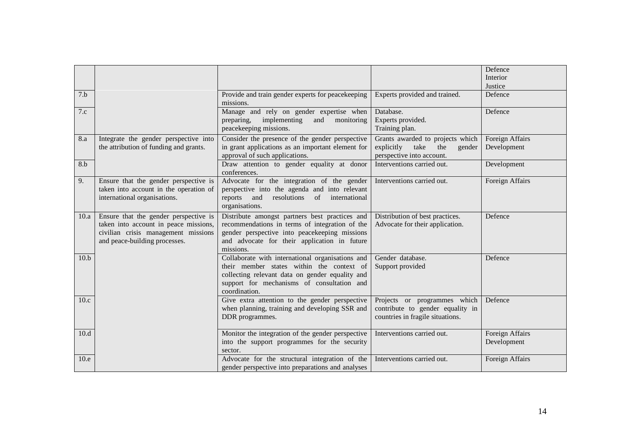|                    |                                                                                                                                                        |                                                                                                                                                                                                                 |                                                                                                      | Defence<br>Interior<br>Justice |
|--------------------|--------------------------------------------------------------------------------------------------------------------------------------------------------|-----------------------------------------------------------------------------------------------------------------------------------------------------------------------------------------------------------------|------------------------------------------------------------------------------------------------------|--------------------------------|
| 7.b                |                                                                                                                                                        | Provide and train gender experts for peacekeeping<br>missions.                                                                                                                                                  | Experts provided and trained.                                                                        | Defence                        |
| 7.c                |                                                                                                                                                        | Manage and rely on gender expertise when<br>implementing<br>preparing,<br>and<br>monitoring<br>peacekeeping missions.                                                                                           | Database.<br>Experts provided.<br>Training plan.                                                     | Defence                        |
| 8.a                | Integrate the gender perspective into<br>the attribution of funding and grants.                                                                        | Consider the presence of the gender perspective<br>in grant applications as an important element for<br>approval of such applications.                                                                          | Grants awarded to projects which<br>explicitly<br>take<br>the<br>gender<br>perspective into account. | Foreign Affairs<br>Development |
| 8.b                |                                                                                                                                                        | Draw attention to gender equality at donor<br>conferences.                                                                                                                                                      | Interventions carried out.                                                                           | Development                    |
| 9.                 | Ensure that the gender perspective is<br>taken into account in the operation of<br>international organisations.                                        | Advocate for the integration of the gender<br>perspective into the agenda and into relevant<br>resolutions of<br>international<br>reports<br>and<br>organisations.                                              | Interventions carried out.                                                                           | Foreign Affairs                |
| 10.a               | Ensure that the gender perspective is<br>taken into account in peace missions,<br>civilian crisis management missions<br>and peace-building processes. | Distribute amongst partners best practices and<br>recommendations in terms of integration of the<br>gender perspective into peacekeeping missions<br>and advocate for their application in future<br>missions.  | Distribution of best practices.<br>Advocate for their application.                                   | Defence                        |
| $\overline{10}$ .b |                                                                                                                                                        | Collaborate with international organisations and<br>their member states within the context of<br>collecting relevant data on gender equality and<br>support for mechanisms of consultation and<br>coordination. | Gender database.<br>Support provided                                                                 | Defence                        |
| 10.c               |                                                                                                                                                        | Give extra attention to the gender perspective<br>when planning, training and developing SSR and<br>DDR programmes.                                                                                             | Projects or programmes which<br>contribute to gender equality in<br>countries in fragile situations. | Defence                        |
| 10.d               |                                                                                                                                                        | Monitor the integration of the gender perspective<br>into the support programmes for the security<br>sector.                                                                                                    | Interventions carried out.                                                                           | Foreign Affairs<br>Development |
| 10.e               |                                                                                                                                                        | Advocate for the structural integration of the<br>gender perspective into preparations and analyses                                                                                                             | Interventions carried out.                                                                           | Foreign Affairs                |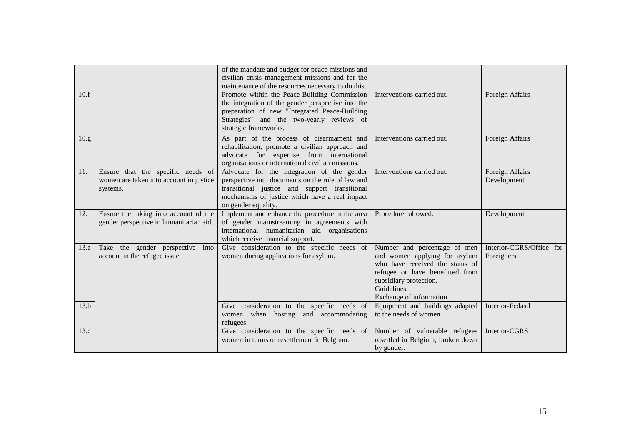|       |                                                                                          | of the mandate and budget for peace missions and<br>civilian crisis management missions and for the<br>maintenance of the resources necessary to do this.                                                                 |                                                                                                                                                                                                          |                                        |
|-------|------------------------------------------------------------------------------------------|---------------------------------------------------------------------------------------------------------------------------------------------------------------------------------------------------------------------------|----------------------------------------------------------------------------------------------------------------------------------------------------------------------------------------------------------|----------------------------------------|
| 10.f  |                                                                                          | Promote within the Peace-Building Commission<br>the integration of the gender perspective into the<br>preparation of new "Integrated Peace-Building<br>Strategies" and the two-yearly reviews of<br>strategic frameworks. | Interventions carried out.                                                                                                                                                                               | Foreign Affairs                        |
| 10.g. |                                                                                          | As part of the process of disarmament and<br>rehabilitation, promote a civilian approach and<br>advocate for expertise from international<br>organisations or international civilian missions.                            | Interventions carried out.                                                                                                                                                                               | Foreign Affairs                        |
| 11.   | Ensure that the specific needs of<br>women are taken into account in justice<br>systems. | Advocate for the integration of the gender<br>perspective into documents on the rule of law and<br>transitional justice and support transitional<br>mechanisms of justice which have a real impact<br>on gender equality. | Interventions carried out.                                                                                                                                                                               | Foreign Affairs<br>Development         |
| 12.   | Ensure the taking into account of the<br>gender perspective in humanitarian aid.         | Implement and enhance the procedure in the area<br>of gender mainstreaming in agreements with<br>international humanitarian aid organisations<br>which receive financial support.                                         | Procedure followed.                                                                                                                                                                                      | Development                            |
| 13.a  | Take the gender perspective into<br>account in the refugee issue.                        | Give consideration to the specific needs of<br>women during applications for asylum.                                                                                                                                      | Number and percentage of men<br>and women applying for asylum<br>who have received the status of<br>refugee or have benefitted from<br>subsidiary protection.<br>Guidelines.<br>Exchange of information. | Interior-CGRS/Office for<br>Foreigners |
| 13.b  |                                                                                          | Give consideration to the specific needs of<br>women when hosting and accommodating<br>refugees.                                                                                                                          | Equipment and buildings adapted<br>to the needs of women.                                                                                                                                                | Interior-Fedasil                       |
| 13.c  |                                                                                          | Give consideration to the specific needs of<br>women in terms of resettlement in Belgium.                                                                                                                                 | Number of vulnerable refugees<br>resettled in Belgium, broken down<br>by gender.                                                                                                                         | Interior-CGRS                          |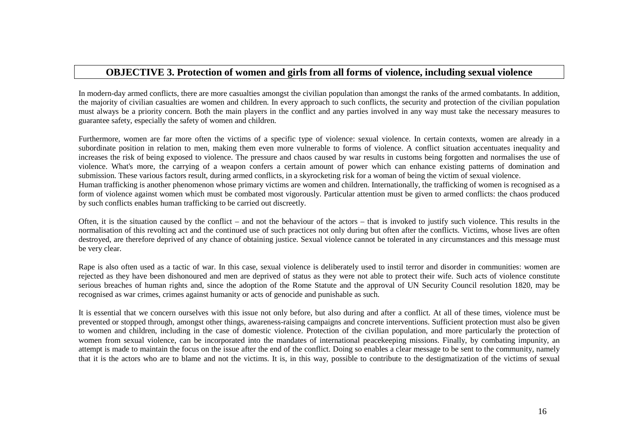## **OBJECTIVE 3. Protection of women and girls from all forms of violence, including sexual violence**

In modern-day armed conflicts, there are more casualties amongst the civilian population than amongst the ranks of the armed combatants. In addition, the majority of civilian casualties are women and children. In every approach to such conflicts, the security and protection of the civilian population must always be a priority concern. Both the main players in the conflict and any parties involved in any way must take the necessary measures to guarantee safety, especially the safety of women and children.

Furthermore, women are far more often the victims of a specific type of violence: sexual violence. In certain contexts, women are already in a subordinate position in relation to men, making them even more vulnerable to forms of violence. A conflict situation accentuates inequality and increases the risk of being exposed to violence. The pressure and chaos caused by war results in customs being forgotten and normalises the use of violence. What's more, the carrying of a weapon confers a certain amount of power which can enhance existing patterns of domination and submission. These various factors result, during armed conflicts, in a skyrocketing risk for a woman of being the victim of sexual violence. Human trafficking is another phenomenon whose primary victims are women and children. Internationally, the trafficking of women is recognised as a form of violence against women which must be combated most vigorously. Particular attention must be given to armed conflicts: the chaos produced by such conflicts enables human trafficking to be carried out discreetly.

Often, it is the situation caused by the conflict – and not the behaviour of the actors – that is invoked to justify such violence. This results in the normalisation of this revolting act and the continued use of such practices not only during but often after the conflicts. Victims, whose lives are often destroyed, are therefore deprived of any chance of obtaining justice. Sexual violence cannot be tolerated in any circumstances and this message must be very clear.

Rape is also often used as a tactic of war. In this case, sexual violence is deliberately used to instil terror and disorder in communities: women are rejected as they have been dishonoured and men are deprived of status as they were not able to protect their wife. Such acts of violence constitute serious breaches of human rights and, since the adoption of the Rome Statute and the approval of UN Security Council resolution 1820, may be recognised as war crimes, crimes against humanity or acts of genocide and punishable as such.

It is essential that we concern ourselves with this issue not only before, but also during and after a conflict. At all of these times, violence must be prevented or stopped through, amongst other things, awareness-raising campaigns and concrete interventions. Sufficient protection must also be given to women and children, including in the case of domestic violence. Protection of the civilian population, and more particularly the protection of women from sexual violence, can be incorporated into the mandates of international peacekeeping missions. Finally, by combating impunity, an attempt is made to maintain the focus on the issue after the end of the conflict. Doing so enables a clear message to be sent to the community, namely that it is the actors who are to blame and not the victims. It is, in this way, possible to contribute to the destigmatization of the victims of sexual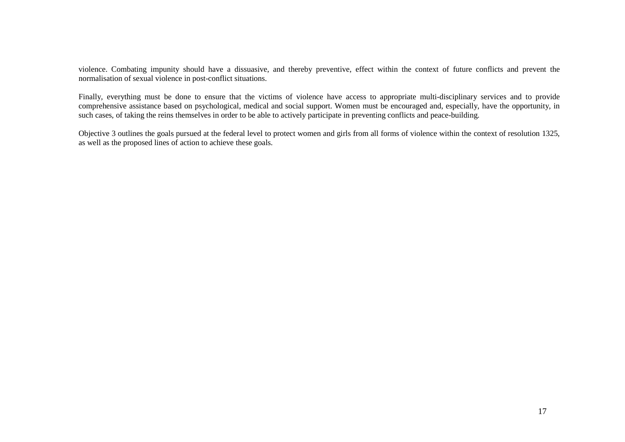violence. Combating impunity should have a dissuasive, and thereby preventive, effect within the context of future conflicts and prevent the normalisation of sexual violence in post-conflict situations.

Finally, everything must be done to ensure that the victims of violence have access to appropriate multi-disciplinary services and to provide comprehensive assistance based on psychological, medical and social support. Women must be encouraged and, especially, have the opportunity, in such cases, of taking the reins themselves in order to be able to actively participate in preventing conflicts and peace-building.

Objective 3 outlines the goals pursued at the federal level to protect women and girls from all forms of violence within the context of resolution 1325, as well as the proposed lines of action to achieve these goals.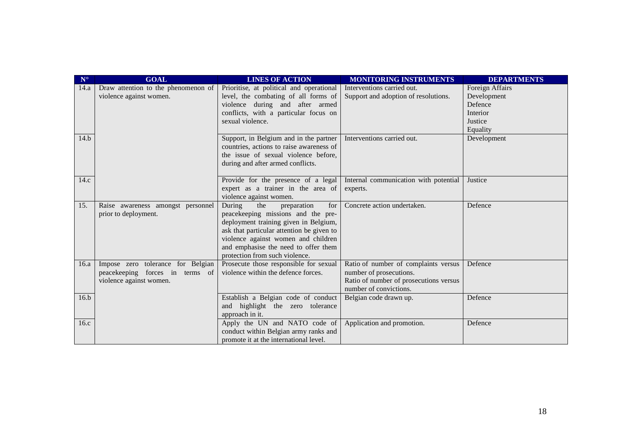| ${\bf N}^\circ$ | <b>GOAL</b>                          | <b>LINES OF ACTION</b>                    | <b>MONITORING INSTRUMENTS</b>          | <b>DEPARTMENTS</b> |
|-----------------|--------------------------------------|-------------------------------------------|----------------------------------------|--------------------|
| 14.a            | Draw attention to the phenomenon of  | Prioritise, at political and operational  | Interventions carried out.             | Foreign Affairs    |
|                 | violence against women.              | level, the combating of all forms of      | Support and adoption of resolutions.   | Development        |
|                 |                                      | violence during and after armed           |                                        | Defence            |
|                 |                                      | conflicts, with a particular focus on     |                                        | Interior           |
|                 |                                      | sexual violence.                          |                                        | Justice            |
|                 |                                      |                                           |                                        | Equality           |
| 14.b            |                                      | Support, in Belgium and in the partner    | Interventions carried out.             | Development        |
|                 |                                      | countries, actions to raise awareness of  |                                        |                    |
|                 |                                      | the issue of sexual violence before,      |                                        |                    |
|                 |                                      | during and after armed conflicts.         |                                        |                    |
|                 |                                      |                                           |                                        |                    |
| 14.c            |                                      | Provide for the presence of a legal       | Internal communication with potential  | Justice            |
|                 |                                      | expert as a trainer in the area of        | experts.                               |                    |
|                 |                                      | violence against women.                   |                                        |                    |
| 15.             | Raise awareness amongst personnel    | During<br>the<br>preparation<br>for       | Concrete action undertaken.            | Defence            |
|                 | prior to deployment.                 | peacekeeping missions and the pre-        |                                        |                    |
|                 |                                      | deployment training given in Belgium,     |                                        |                    |
|                 |                                      | ask that particular attention be given to |                                        |                    |
|                 |                                      | violence against women and children       |                                        |                    |
|                 |                                      | and emphasise the need to offer them      |                                        |                    |
|                 |                                      | protection from such violence.            |                                        |                    |
| 16.a            | tolerance for Belgian<br>Impose zero | Prosecute those responsible for sexual    | Ratio of number of complaints versus   | Defence            |
|                 | peacekeeping forces in terms of      | violence within the defence forces.       | number of prosecutions.                |                    |
|                 | violence against women.              |                                           | Ratio of number of prosecutions versus |                    |
|                 |                                      |                                           | number of convictions.                 |                    |
| 16.b            |                                      | Establish a Belgian code of conduct       | Belgian code drawn up.                 | Defence            |
|                 |                                      | highlight the zero tolerance<br>and       |                                        |                    |
|                 |                                      | approach in it.                           |                                        |                    |
| 16.c            |                                      | Apply the UN and NATO code of             | Application and promotion.             | Defence            |
|                 |                                      | conduct within Belgian army ranks and     |                                        |                    |
|                 |                                      | promote it at the international level.    |                                        |                    |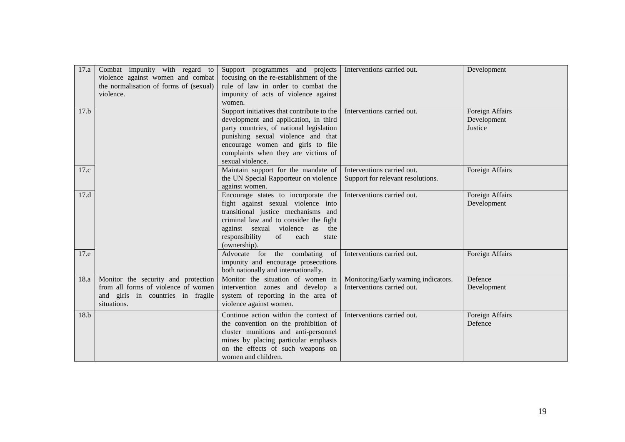| 17.a | Combat impunity with regard to<br>violence against women and combat<br>the normalisation of forms of (sexual)<br>violence.     | Support programmes and projects<br>focusing on the re-establishment of the<br>rule of law in order to combat the<br>impunity of acts of violence against<br>women.                                                                                                    | Interventions carried out.                                         | Development                               |
|------|--------------------------------------------------------------------------------------------------------------------------------|-----------------------------------------------------------------------------------------------------------------------------------------------------------------------------------------------------------------------------------------------------------------------|--------------------------------------------------------------------|-------------------------------------------|
| 17.b |                                                                                                                                | Support initiatives that contribute to the<br>development and application, in third<br>party countries, of national legislation<br>punishing sexual violence and that<br>encourage women and girls to file<br>complaints when they are victims of<br>sexual violence. | Interventions carried out.                                         | Foreign Affairs<br>Development<br>Justice |
| 17.c |                                                                                                                                | Maintain support for the mandate of<br>the UN Special Rapporteur on violence<br>against women.                                                                                                                                                                        | Interventions carried out.<br>Support for relevant resolutions.    | Foreign Affairs                           |
| 17.d |                                                                                                                                | Encourage states to incorporate the<br>fight against sexual violence into<br>transitional justice mechanisms and<br>criminal law and to consider the fight<br>against sexual violence as<br>the<br>responsibility<br>of<br>each<br>state<br>(ownership).              | Interventions carried out.                                         | Foreign Affairs<br>Development            |
| 17.e |                                                                                                                                | Advocate for the combating<br>of<br>impunity and encourage prosecutions<br>both nationally and internationally.                                                                                                                                                       | Interventions carried out.                                         | Foreign Affairs                           |
| 18.a | Monitor the security and protection<br>from all forms of violence of women<br>and girls in countries in fragile<br>situations. | Monitor the situation of women in<br>intervention zones and develop a<br>system of reporting in the area of<br>violence against women.                                                                                                                                | Monitoring/Early warning indicators.<br>Interventions carried out. | Defence<br>Development                    |
| 18.b |                                                                                                                                | Continue action within the context of<br>the convention on the prohibition of<br>cluster munitions and anti-personnel<br>mines by placing particular emphasis<br>on the effects of such weapons on<br>women and children.                                             | Interventions carried out.                                         | Foreign Affairs<br>Defence                |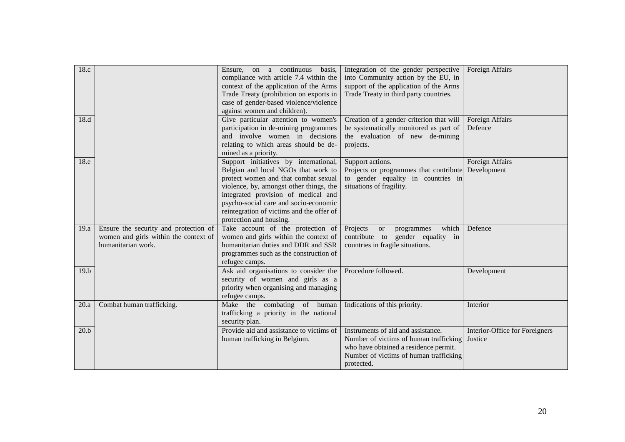| 18.c |                                                                                                      | Ensure, on a continuous<br>basis.<br>compliance with article 7.4 within the<br>context of the application of the Arms<br>Trade Treaty (prohibition on exports in<br>case of gender-based violence/violence<br>against women and children).                                                                              | Integration of the gender perspective<br>into Community action by the EU, in<br>support of the application of the Arms<br>Trade Treaty in third party countries.              | Foreign Affairs                           |
|------|------------------------------------------------------------------------------------------------------|-------------------------------------------------------------------------------------------------------------------------------------------------------------------------------------------------------------------------------------------------------------------------------------------------------------------------|-------------------------------------------------------------------------------------------------------------------------------------------------------------------------------|-------------------------------------------|
| 18.d |                                                                                                      | Give particular attention to women's<br>participation in de-mining programmes<br>and involve women in decisions<br>relating to which areas should be de-<br>mined as a priority.                                                                                                                                        | Creation of a gender criterion that will<br>be systematically monitored as part of<br>the evaluation of new de-mining<br>projects.                                            | Foreign Affairs<br>Defence                |
| 18.e |                                                                                                      | Support initiatives by international,<br>Belgian and local NGOs that work to<br>protect women and that combat sexual<br>violence, by, amongst other things, the<br>integrated provision of medical and<br>psycho-social care and socio-economic<br>reintegration of victims and the offer of<br>protection and housing. | Support actions.<br>Projects or programmes that contribute<br>to gender equality in countries in<br>situations of fragility.                                                  | Foreign Affairs<br>Development            |
| 19.a | Ensure the security and protection of<br>women and girls within the context of<br>humanitarian work. | Take account of the protection of<br>women and girls within the context of<br>humanitarian duties and DDR and SSR<br>programmes such as the construction of<br>refugee camps.                                                                                                                                           | Projects<br>which<br><sub>or</sub><br>programmes<br>contribute to gender equality in<br>countries in fragile situations.                                                      | Defence                                   |
| 19.b |                                                                                                      | Ask aid organisations to consider the<br>security of women and girls as a<br>priority when organising and managing<br>refugee camps.                                                                                                                                                                                    | Procedure followed.                                                                                                                                                           | Development                               |
| 20.a | Combat human trafficking.                                                                            | Make the combating of human<br>trafficking a priority in the national<br>security plan.                                                                                                                                                                                                                                 | Indications of this priority.                                                                                                                                                 | Interior                                  |
| 20.b |                                                                                                      | Provide aid and assistance to victims of<br>human trafficking in Belgium.                                                                                                                                                                                                                                               | Instruments of aid and assistance.<br>Number of victims of human trafficking<br>who have obtained a residence permit.<br>Number of victims of human trafficking<br>protected. | Interior-Office for Foreigners<br>Justice |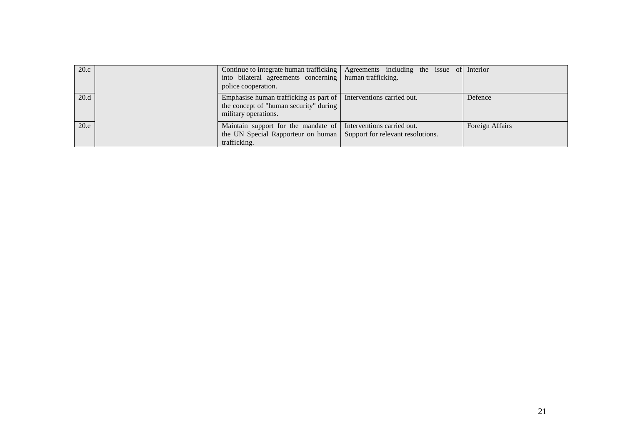| 20.c | into bilateral agreements concerning   human trafficking.<br>police cooperation.                                                                         | Continue to integrate human trafficking   Agreements including the issue of Interior |                 |
|------|----------------------------------------------------------------------------------------------------------------------------------------------------------|--------------------------------------------------------------------------------------|-----------------|
| 20.d | Emphasise human trafficking as part of   Interventions carried out.<br>the concept of "human security" during<br>military operations.                    |                                                                                      | Defence         |
| 20.e | Maintain support for the mandate of Interventions carried out.<br>the UN Special Rapporteur on human   Support for relevant resolutions.<br>trafficking. |                                                                                      | Foreign Affairs |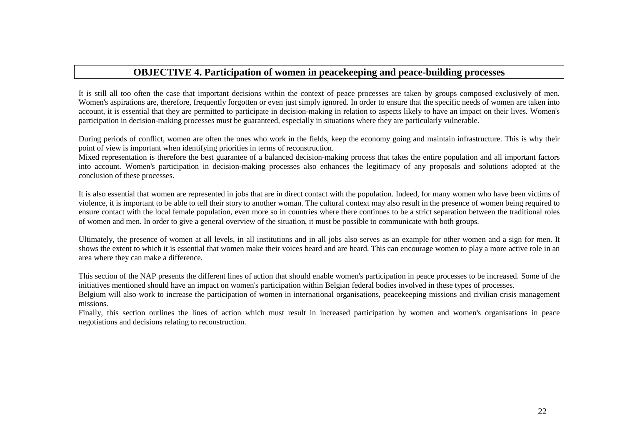## **OBJECTIVE 4. Participation of women in peacekeeping and peace-building processes**

It is still all too often the case that important decisions within the context of peace processes are taken by groups composed exclusively of men. Women's aspirations are, therefore, frequently forgotten or even just simply ignored. In order to ensure that the specific needs of women are taken into account, it is essential that they are permitted to participate in decision-making in relation to aspects likely to have an impact on their lives. Women's participation in decision-making processes must be guaranteed, especially in situations where they are particularly vulnerable.

During periods of conflict, women are often the ones who work in the fields, keep the economy going and maintain infrastructure. This is why their point of view is important when identifying priorities in terms of reconstruction.

 Mixed representation is therefore the best guarantee of a balanced decision-making process that takes the entire population and all important factors into account. Women's participation in decision-making processes also enhances the legitimacy of any proposals and solutions adopted at the conclusion of these processes.

It is also essential that women are represented in jobs that are in direct contact with the population. Indeed, for many women who have been victims of violence, it is important to be able to tell their story to another woman. The cultural context may also result in the presence of women being required to ensure contact with the local female population, even more so in countries where there continues to be a strict separation between the traditional roles of women and men. In order to give a general overview of the situation, it must be possible to communicate with both groups.

Ultimately, the presence of women at all levels, in all institutions and in all jobs also serves as an example for other women and a sign for men. It shows the extent to which it is essential that women make their voices heard and are heard. This can encourage women to play a more active role in an area where they can make a difference.

This section of the NAP presents the different lines of action that should enable women's participation in peace processes to be increased. Some of the initiatives mentioned should have an impact on women's participation within Belgian federal bodies involved in these types of processes.

 Belgium will also work to increase the participation of women in international organisations, peacekeeping missions and civilian crisis management missions.

 Finally, this section outlines the lines of action which must result in increased participation by women and women's organisations in peace negotiations and decisions relating to reconstruction.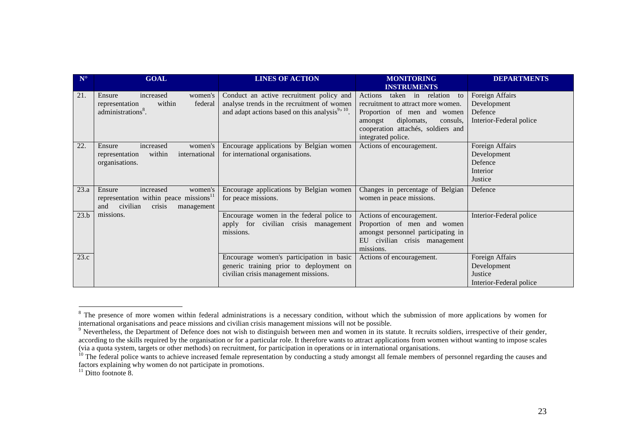| $\mathbf{N}^\circ$ | <b>GOAL</b>                                                                                                                     | <b>LINES OF ACTION</b>                                                                                                                                | <b>MONITORING</b><br><b>INSTRUMENTS</b>                                                                                                                                                                  | <b>DEPARTMENTS</b>                                                   |
|--------------------|---------------------------------------------------------------------------------------------------------------------------------|-------------------------------------------------------------------------------------------------------------------------------------------------------|----------------------------------------------------------------------------------------------------------------------------------------------------------------------------------------------------------|----------------------------------------------------------------------|
| 21.                | increased<br>women's<br>Ensure<br>within<br>federal<br>representation<br>administrations <sup>8</sup> .                         | Conduct an active recruitment policy and<br>analyse trends in the recruitment of women<br>and adapt actions based on this analysis <sup>9, 10</sup> . | taken in relation<br>Actions<br>to<br>recruitment to attract more women.<br>Proportion of men and women<br>diplomats,<br>amongst<br>consuls.<br>cooperation attachés, soldiers and<br>integrated police. | Foreign Affairs<br>Development<br>Defence<br>Interior-Federal police |
| 22.                | increased<br>Ensure<br>women's<br>within<br>international<br>representation<br>organisations.                                   | Encourage applications by Belgian women<br>for international organisations.                                                                           | Actions of encouragement.                                                                                                                                                                                | Foreign Affairs<br>Development<br>Defence<br>Interior<br>Justice     |
| 23.a               | Ensure<br>increased<br>women's<br>representation within peace missions <sup>11</sup><br>civilian<br>crisis<br>and<br>management | Encourage applications by Belgian women<br>for peace missions.                                                                                        | Changes in percentage of Belgian<br>women in peace missions.                                                                                                                                             | Defence                                                              |
| 23.b               | missions.                                                                                                                       | Encourage women in the federal police to<br>apply for civilian crisis management<br>missions.                                                         | Actions of encouragement.<br>Proportion of men and women<br>amongst personnel participating in<br>EU civilian crisis management<br>missions.                                                             | Interior-Federal police                                              |
| 23.c               |                                                                                                                                 | Encourage women's participation in basic<br>generic training prior to deployment on<br>civilian crisis management missions.                           | Actions of encouragement.                                                                                                                                                                                | Foreign Affairs<br>Development<br>Justice<br>Interior-Federal police |

<sup>&</sup>lt;sup>8</sup> The presence of more women within federal administrations is a necessary condition, without which the submission of more applications by women for international organisations and peace missions and civilian crisis management missions will not be possible.

<sup>&</sup>lt;sup>9</sup> Nevertheless, the Department of Defence does not wish to distinguish between men and women in its statute. It recruits soldiers, irrespective of their gender, according to the skills required by the organisation or for a particular role. It therefore wants to attract applications from women without wanting to impose scales (via a quota system, targets or other methods) on recruitment, for participation in operations or in international organisations.

<sup>&</sup>lt;sup>10</sup> The federal police wants to achieve increased female representation by conducting a study amongst all female members of personnel regarding the causes and factors explaining why women do not participate in promotions.

 $11$  Ditto footnote 8.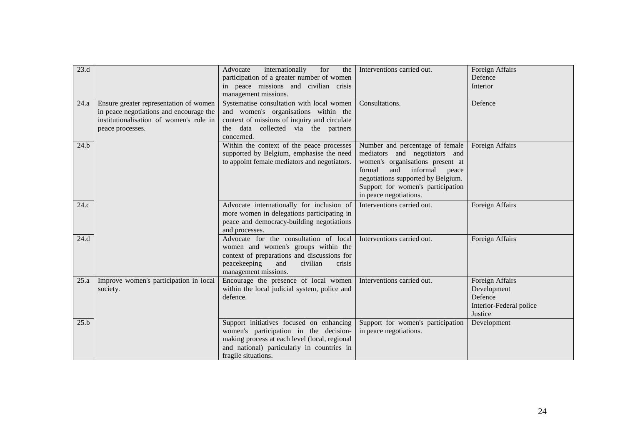| 23.d |                                                                                                                                                  | Advocate<br>internationally<br>for<br>the<br>participation of a greater number of women<br>in peace missions and civilian crisis<br>management missions.                                                 | Interventions carried out.                                                                                                                                                                                                                   | Foreign Affairs<br>Defence<br>Interior                                          |
|------|--------------------------------------------------------------------------------------------------------------------------------------------------|----------------------------------------------------------------------------------------------------------------------------------------------------------------------------------------------------------|----------------------------------------------------------------------------------------------------------------------------------------------------------------------------------------------------------------------------------------------|---------------------------------------------------------------------------------|
| 24.a | Ensure greater representation of women<br>in peace negotiations and encourage the<br>institutionalisation of women's role in<br>peace processes. | Systematise consultation with local women<br>and women's organisations within the<br>context of missions of inquiry and circulate<br>data collected via the partners<br>the<br>concerned.                | Consultations.                                                                                                                                                                                                                               | Defence                                                                         |
| 24.b |                                                                                                                                                  | Within the context of the peace processes<br>supported by Belgium, emphasise the need<br>to appoint female mediators and negotiators.                                                                    | Number and percentage of female<br>mediators and negotiators and<br>women's organisations present at<br>formal<br>and informal<br>peace<br>negotiations supported by Belgium.<br>Support for women's participation<br>in peace negotiations. | Foreign Affairs                                                                 |
| 24.c |                                                                                                                                                  | Advocate internationally for inclusion of<br>more women in delegations participating in<br>peace and democracy-building negotiations<br>and processes.                                                   | Interventions carried out.                                                                                                                                                                                                                   | Foreign Affairs                                                                 |
| 24.d |                                                                                                                                                  | Advocate for the consultation of local<br>women and women's groups within the<br>context of preparations and discussions for<br>peacekeeping<br>civilian<br>and<br>crisis<br>management missions.        | Interventions carried out.                                                                                                                                                                                                                   | Foreign Affairs                                                                 |
| 25.a | Improve women's participation in local<br>society.                                                                                               | Encourage the presence of local women<br>within the local judicial system, police and<br>defence.                                                                                                        | Interventions carried out.                                                                                                                                                                                                                   | Foreign Affairs<br>Development<br>Defence<br>Interior-Federal police<br>Justice |
| 25.b |                                                                                                                                                  | Support initiatives focused on enhancing<br>women's participation in the decision-<br>making process at each level (local, regional<br>and national) particularly in countries in<br>fragile situations. | Support for women's participation<br>in peace negotiations.                                                                                                                                                                                  | Development                                                                     |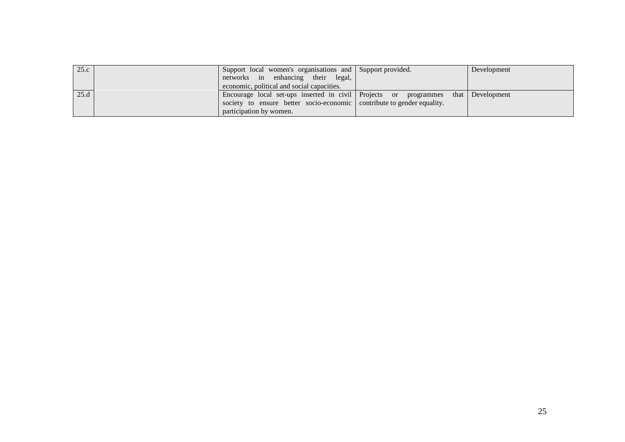| 25.c | Support local women's organisations and Support provided.<br>networks in enhancing their legal,<br>economic, political and social capacities. |                                | Development      |
|------|-----------------------------------------------------------------------------------------------------------------------------------------------|--------------------------------|------------------|
| 25.d | Encourage local set-ups inserted in civil Projects or programmes<br>society to ensure better socio-economic<br>participation by women.        | contribute to gender equality. | that Development |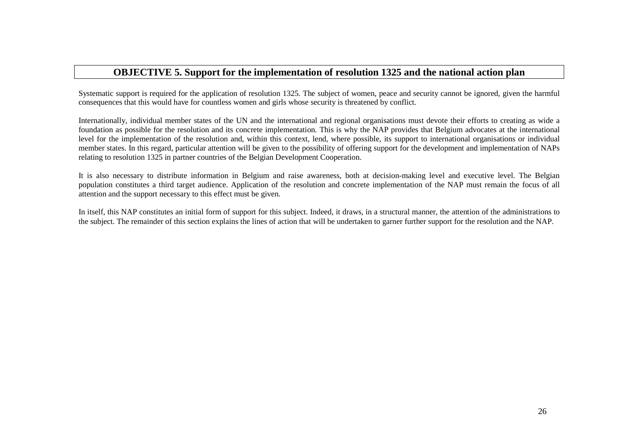## **OBJECTIVE 5. Support for the implementation of resolution 1325 and the national action plan**

Systematic support is required for the application of resolution 1325. The subject of women, peace and security cannot be ignored, given the harmful consequences that this would have for countless women and girls whose security is threatened by conflict.

Internationally, individual member states of the UN and the international and regional organisations must devote their efforts to creating as wide a foundation as possible for the resolution and its concrete implementation. This is why the NAP provides that Belgium advocates at the international level for the implementation of the resolution and, within this context, lend, where possible, its support to international organisations or individual member states. In this regard, particular attention will be given to the possibility of offering support for the development and implementation of NAPs relating to resolution 1325 in partner countries of the Belgian Development Cooperation.

It is also necessary to distribute information in Belgium and raise awareness, both at decision-making level and executive level. The Belgian population constitutes a third target audience. Application of the resolution and concrete implementation of the NAP must remain the focus of all attention and the support necessary to this effect must be given.

In itself, this NAP constitutes an initial form of support for this subject. Indeed, it draws, in a structural manner, the attention of the administrations to the subject. The remainder of this section explains the lines of action that will be undertaken to garner further support for the resolution and the NAP.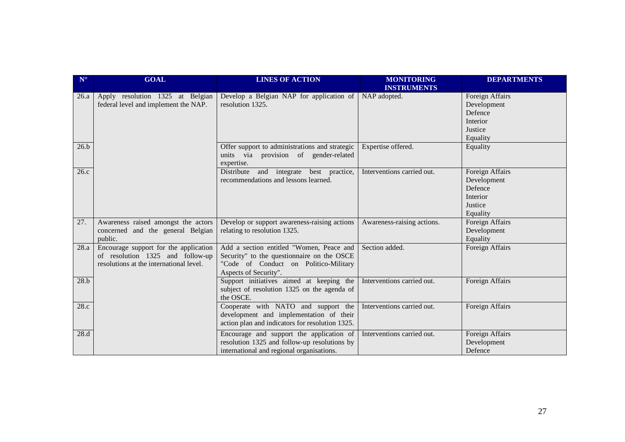| $\mathbf{N}^\circ$ | <b>GOAL</b>                                                                                                          | <b>LINES OF ACTION</b>                                                                                                                                   | <b>MONITORING</b><br><b>INSTRUMENTS</b> | <b>DEPARTMENTS</b>                                                           |
|--------------------|----------------------------------------------------------------------------------------------------------------------|----------------------------------------------------------------------------------------------------------------------------------------------------------|-----------------------------------------|------------------------------------------------------------------------------|
| 26.a               | Apply resolution 1325 at Belgian<br>federal level and implement the NAP.                                             | Develop a Belgian NAP for application of<br>resolution 1325.                                                                                             | NAP adopted.                            | Foreign Affairs<br>Development<br>Defence<br>Interior<br>Justice<br>Equality |
| 26.b               |                                                                                                                      | Offer support to administrations and strategic<br>units via provision of gender-related<br>expertise.                                                    | Expertise offered.                      | Equality                                                                     |
| 26.c               |                                                                                                                      | and integrate best practice,<br>Distribute<br>recommendations and lessons learned.                                                                       | Interventions carried out.              | Foreign Affairs<br>Development<br>Defence<br>Interior<br>Justice<br>Equality |
| 27.                | Awareness raised amongst the actors<br>concerned and the general Belgian<br>public.                                  | Develop or support awareness-raising actions<br>relating to resolution 1325.                                                                             | Awareness-raising actions.              | Foreign Affairs<br>Development<br>Equality                                   |
| 28.a               | Encourage support for the application<br>of resolution 1325 and follow-up<br>resolutions at the international level. | Add a section entitled "Women, Peace and<br>Security" to the questionnaire on the OSCE<br>"Code of Conduct on Politico-Military<br>Aspects of Security". | Section added.                          | Foreign Affairs                                                              |
| 28.b               |                                                                                                                      | Support initiatives aimed at keeping the<br>subject of resolution 1325 on the agenda of<br>the OSCE.                                                     | Interventions carried out.              | Foreign Affairs                                                              |
| 28.c               |                                                                                                                      | Cooperate with NATO and support the<br>development and implementation of their<br>action plan and indicators for resolution 1325.                        | Interventions carried out.              | Foreign Affairs                                                              |
| 28.d               |                                                                                                                      | Encourage and support the application of<br>resolution 1325 and follow-up resolutions by<br>international and regional organisations.                    | Interventions carried out.              | Foreign Affairs<br>Development<br>Defence                                    |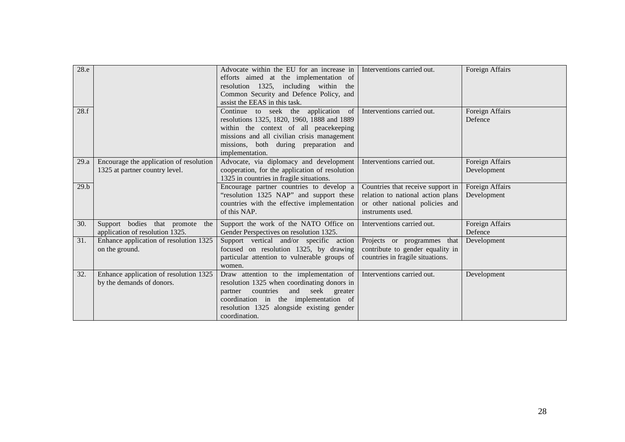| 28.e |                                                                           | Advocate within the EU for an increase in<br>efforts aimed at the implementation of<br>resolution 1325, including within the<br>Common Security and Defence Policy, and<br>assist the EEAS in this task.                                        | Interventions carried out.                                                                                                    | Foreign Affairs                |
|------|---------------------------------------------------------------------------|-------------------------------------------------------------------------------------------------------------------------------------------------------------------------------------------------------------------------------------------------|-------------------------------------------------------------------------------------------------------------------------------|--------------------------------|
|      | 28.f                                                                      | Continue to seek the application of<br>resolutions 1325, 1820, 1960, 1888 and 1889<br>within the context of all peacekeeping<br>missions and all civilian crisis management<br>missions, both during preparation and<br>implementation.         | Interventions carried out.                                                                                                    | Foreign Affairs<br>Defence     |
| 29.a | Encourage the application of resolution<br>1325 at partner country level. | Advocate, via diplomacy and development<br>cooperation, for the application of resolution<br>1325 in countries in fragile situations.                                                                                                           | Interventions carried out.                                                                                                    | Foreign Affairs<br>Development |
|      | 29.b                                                                      | Encourage partner countries to develop a<br>"resolution 1325 NAP" and support these<br>countries with the effective implementation<br>of this NAP.                                                                                              | Countries that receive support in<br>relation to national action plans<br>or other national policies and<br>instruments used. | Foreign Affairs<br>Development |
| 30.  | Support bodies that promote<br>the<br>application of resolution 1325.     | Support the work of the NATO Office on<br>Gender Perspectives on resolution 1325.                                                                                                                                                               | Interventions carried out.                                                                                                    | Foreign Affairs<br>Defence     |
| 31.  | Enhance application of resolution 1325<br>on the ground.                  | Support vertical and/or specific action<br>focused on resolution 1325, by drawing<br>particular attention to vulnerable groups of<br>women.                                                                                                     | Projects or programmes<br>that<br>contribute to gender equality in<br>countries in fragile situations.                        | Development                    |
| 32.  | Enhance application of resolution 1325<br>by the demands of donors.       | Draw attention to the implementation of<br>resolution 1325 when coordinating donors in<br>countries<br>and<br>seek<br>greater<br>partner<br>coordination in the implementation of<br>resolution 1325 alongside existing gender<br>coordination. | Interventions carried out.                                                                                                    | Development                    |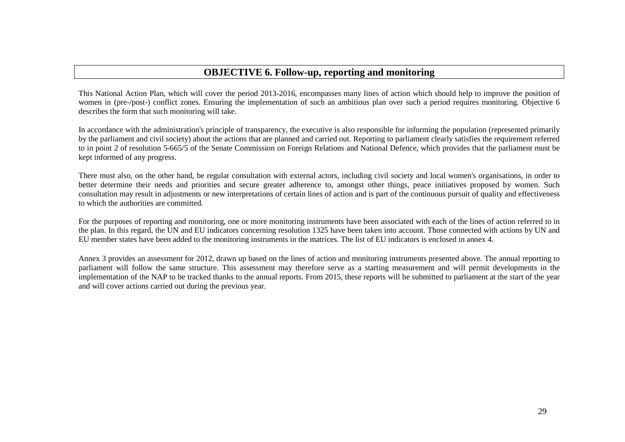## **OBJECTIVE 6. Follow-up, reporting and monitoring**

This National Action Plan, which will cover the period 2013-2016, encompasses many lines of action which should help to improve the position of women in (pre-/post-) conflict zones. Ensuring the implementation of such an ambitious plan over such a period requires monitoring. Objective 6 describes the form that such monitoring will take.

In accordance with the administration's principle of transparency, the executive is also responsible for informing the population (represented primarily by the parliament and civil society) about the actions that are planned and carried out. Reporting to parliament clearly satisfies the requirement referred to in point 2 of resolution 5-665/5 of the Senate Commission on Foreign Relations and National Defence, which provides that the parliament must be kept informed of any progress.

There must also, on the other hand, be regular consultation with external actors, including civil society and local women's organisations, in order to better determine their needs and priorities and secure greater adherence to, amongst other things, peace initiatives proposed by women. Such consultation may result in adjustments or new interpretations of certain lines of action and is part of the continuous pursuit of quality and effectiveness to which the authorities are committed.

For the purposes of reporting and monitoring, one or more monitoring instruments have been associated with each of the lines of action referred to in the plan. In this regard, the UN and EU indicators concerning resolution 1325 have been taken into account. Those connected with actions by UN and EU member states have been added to the monitoring instruments in the matrices. The list of EU indicators is enclosed in annex 4.

Annex 3 provides an assessment for 2012, drawn up based on the lines of action and monitoring instruments presented above. The annual reporting to parliament will follow the same structure. This assessment may therefore serve as a starting measurement and will permit developments in the implementation of the NAP to be tracked thanks to the annual reports. From 2015, these reports will be submitted to parliament at the start of the year and will cover actions carried out during the previous year.